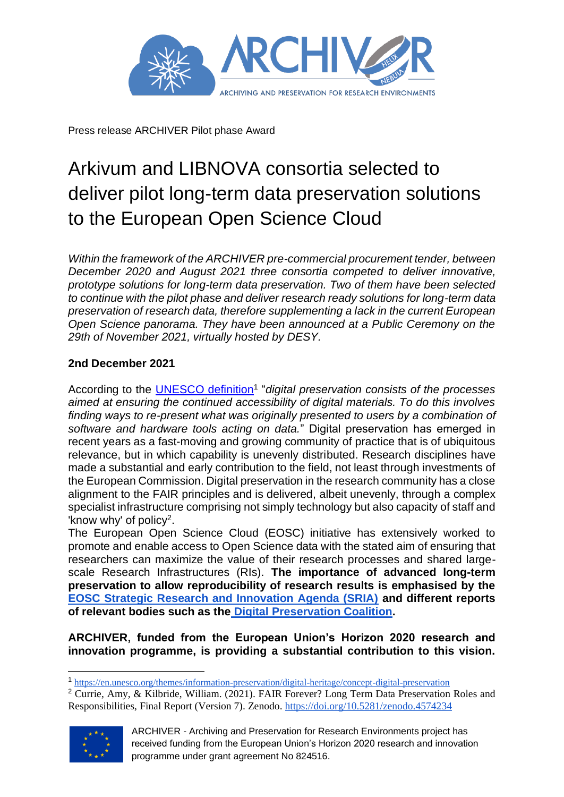

Press release ARCHIVER Pilot phase Award

## Arkivum and LIBNOVA consortia selected to deliver pilot long-term data preservation solutions to the European Open Science Cloud

*Within the framework of the ARCHIVER pre-commercial procurement tender, between December 2020 and August 2021 three consortia competed to deliver innovative, prototype solutions for long-term data preservation. Two of them have been selected to continue with the pilot phase and deliver research ready solutions for long-term data preservation of research data, therefore supplementing a lack in the current European Open Science panorama. They have been announced at a Public Ceremony on the 29th of November 2021, virtually hosted by DESY.*

## **2nd December 2021**

According to the **UNESCO definition<sup>1</sup>** "digital preservation consists of the processes *aimed at ensuring the continued accessibility of digital materials. To do this involves finding ways to re-present what was originally presented to users by a combination of software and hardware tools acting on data.*" Digital preservation has emerged in recent years as a fast-moving and growing community of practice that is of ubiquitous relevance, but in which capability is unevenly distributed. Research disciplines have made a substantial and early contribution to the field, not least through investments of the European Commission. Digital preservation in the research community has a close alignment to the FAIR principles and is delivered, albeit unevenly, through a complex specialist infrastructure comprising not simply technology but also capacity of staff and 'know why' of policy<sup>2</sup>.

The European Open Science Cloud (EOSC) initiative has extensively worked to promote and enable access to Open Science data with the stated aim of ensuring that researchers can maximize the value of their research processes and shared largescale Research Infrastructures (RIs). **The importance of advanced long-term preservation to allow reproducibility of research results is emphasised by th[e](https://www.eosc.eu/sites/default/files/EOSC-SRIA-V1.0_15Feb2021.pdf) [EOSC Strategic Research and Innovation Agenda \(SRIA\)](https://www.eosc.eu/sites/default/files/EOSC-SRIA-V1.0_15Feb2021.pdf) and different reports of relevant bodies such as the [Digital Preservation Coalition.](https://www.dpconline.org/)** 

**ARCHIVER, funded from the European Union's Horizon 2020 research and innovation programme, is providing a substantial contribution to this vision.**

<sup>2</sup> Currie, Amy, & Kilbride, William. (2021). FAIR Forever? Long Term Data Preservation Roles and Responsibilities, Final Report (Version 7). Zenodo.<https://doi.org/10.5281/zenodo.4574234>



ARCHIVER - Archiving and Preservation for Research Environments project has received funding from the European Union's Horizon 2020 research and innovation programme under grant agreement No 824516.

<sup>1</sup> <https://en.unesco.org/themes/information-preservation/digital-heritage/concept-digital-preservation>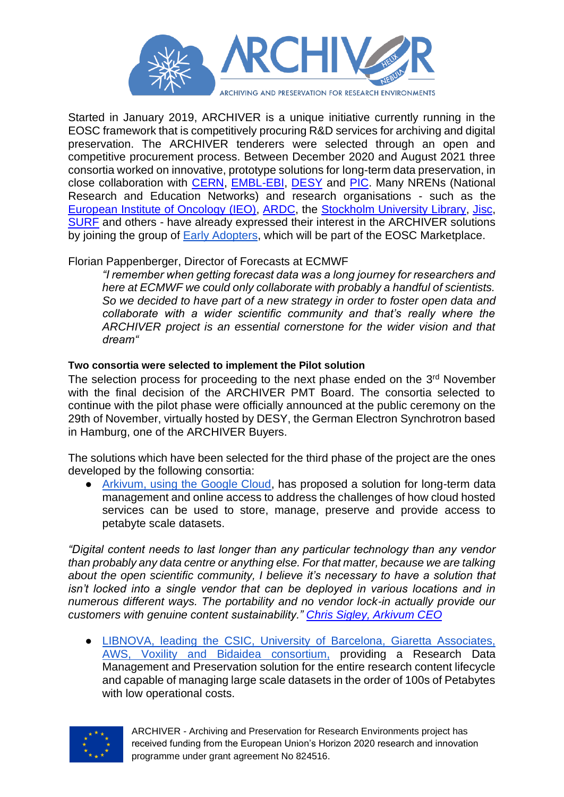

Started in January 2019, ARCHIVER is a unique initiative currently running in the EOSC framework that is competitively procuring R&D services for archiving and digital preservation. The ARCHIVER tenderers were selected through an open and competitive procurement process. Between December 2020 and August 2021 three consortia worked on innovative, prototype solutions for long-term data preservation, in close collaboration with [CERN,](https://home.cern/) [EMBL-EBI,](https://www.ebi.ac.uk/) [DESY](https://www.desy.de/) and [PIC.](https://www.pic.es/) Many NRENs (National Research and Education Networks) and research organisations - such as the [European Institute of Oncology \(IEO\),](https://www.ieo.it/en/) [ARDC,](https://ardc.edu.au/) the [Stockholm University Library,](https://www.su.se/stockholm-university-library/) [Jisc,](https://www.jisc.ac.uk/) [SURF](https://www.surf.nl/en) and others - have already expressed their interest in the ARCHIVER solutions by joining the group of [Early Adopters,](https://www.archiver-project.eu/early-adopters-programme) which will be part of the EOSC Marketplace.

## Florian Pappenberger, Director of Forecasts at ECMWF

*"I remember when getting forecast data was a long journey for researchers and here at ECMWF we could only collaborate with probably a handful of scientists. So we decided to have part of a new strategy in order to foster open data and collaborate with a wider scientific community and that's really where the ARCHIVER project is an essential cornerstone for the wider vision and that dream"*

## **Two consortia were selected to implement the Pilot solution**

The selection process for proceeding to the next phase ended on the 3<sup>rd</sup> November with the final decision of the ARCHIVER PMT Board. The consortia selected to continue with the pilot phase were officially announced at the public ceremony on the 29th of November, virtually hosted by DESY, the German Electron Synchrotron based in Hamburg, one of the ARCHIVER Buyers.

The solutions which have been selected for the third phase of the project are the ones developed by the following consortia:

• [Arkivum, using the Google Cloud,](https://archiver-project.eu/pilot-phase-award) has proposed a solution for long-term data management and online access to address the challenges of how cloud hosted services can be used to store, manage, preserve and provide access to petabyte scale datasets.

*"Digital content needs to last longer than any particular technology than any vendor than probably any data centre or anything else. For that matter, because we are talking about the open scientific community, I believe it's necessary to have a solution that isn't locked into a single vendor that can be deployed in various locations and in numerous different ways. The portability and no vendor lock-in actually provide our customers with genuine content sustainability." [Chris Sigley, Arkivum CEO](https://www.youtube.com/watch?v=4c8s3cfDwxw)*

● [LIBNOVA, leading the CSIC, University of Barcelona, Giaretta Associates,](https://archiver-project.eu/pilot-phase-award)  [AWS, Voxility and Bidaidea consortium,](https://archiver-project.eu/pilot-phase-award) providing a Research Data Management and Preservation solution for the entire research content lifecycle and capable of managing large scale datasets in the order of 100s of Petabytes with low operational costs.